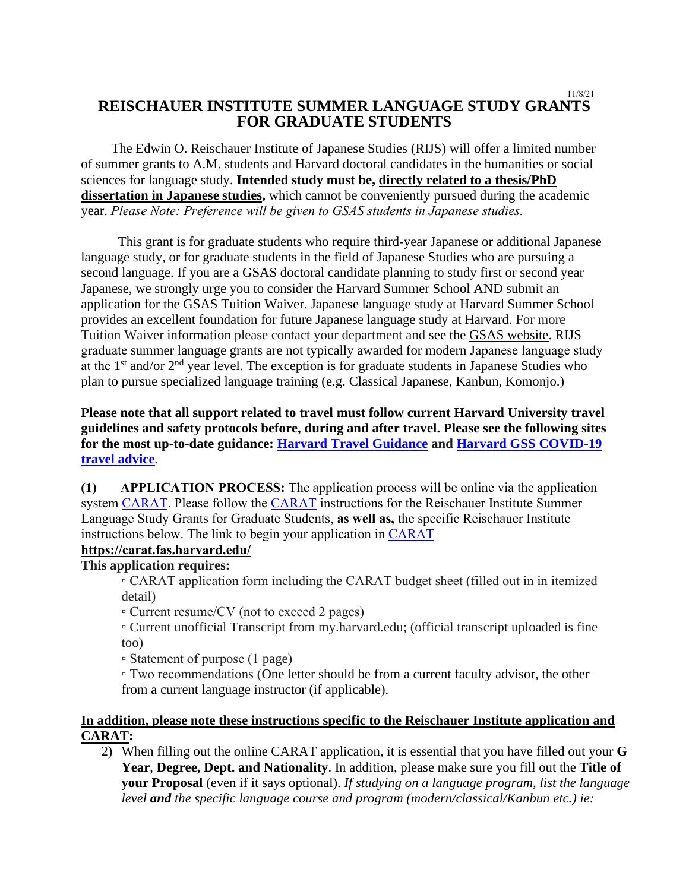#### 11/8/21 **REISCHAUER INSTITUTE SUMMER LANGUAGE STUDY GRANTS FOR GRADUATE STUDENTS**

 The Edwin O. Reischauer Institute of Japanese Studies (RIJS) will offer a limited number of summer grants to A.M. students and Harvard doctoral candidates in the humanities or social sciences for language study. **Intended study must be, directly related to a thesis/PhD dissertation in Japanese studies,** which cannot be conveniently pursued during the academic year. *Please Note: Preference will be given to GSAS students in Japanese studies.*

 This grant is for graduate students who require third-year Japanese or additional Japanese language study, or for graduate students in the field of Japanese Studies who are pursuing a second language. If you are a GSAS doctoral candidate planning to study first or second year Japanese, we strongly urge you to consider the Harvard Summer School AND submit an application for the GSAS Tuition Waiver. Japanese language study at Harvard Summer School provides an excellent foundation for future Japanese language study at Harvard. For more Tuition Waiver information please contact your department and see the [GSAS website.](https://gsas.harvard.edu/financial-support/fellowships) RIJS graduate summer language grants are not typically awarded for modern Japanese language study at the  $1<sup>st</sup>$  and/or  $2<sup>nd</sup>$  year level. The exception is for graduate students in Japanese Studies who plan to pursue specialized language training (e.g. Classical Japanese, Kanbun, Komonjo.)

# **Please note that all support related to travel must follow current Harvard University travel guidelines and safety protocols before, during and after travel. Please see the following sites for the most up-to-date guidance: [Harvard Travel Guidance](https://www.harvard.edu/coronavirus/travel-guidance) and [Harvard GSS COVID-19](https://www.globalsupport.harvard.edu/news-advice/coronavirus-advice-travelers)  [travel advice](https://www.globalsupport.harvard.edu/news-advice/coronavirus-advice-travelers)**.

**(1) APPLICATION PROCESS:** The application process will be online via the application system [CARAT.](https://carat.fas.harvard.edu/) Please follow the [CARAT](https://carat.fas.harvard.edu/) instructions for the Reischauer Institute Summer Language Study Grants for Graduate Students, **as well as,** the specific Reischauer Institute instructions below. The link to begin your application in [CARAT](https://carat.fas.harvard.edu/)

## **<https://carat.fas.harvard.edu/>**

#### **This application requires:**

▫ CARAT application form including the CARAT budget sheet (filled out in in itemized detail)

▫ Current resume/CV (not to exceed 2 pages)

▫ Current unofficial Transcript from my.harvard.edu; (official transcript uploaded is fine too)

▫ Statement of purpose (1 page)

▫ Two recommendations (One letter should be from a current faculty advisor, the other from a current language instructor (if applicable).

## **In addition, please note these instructions specific to the Reischauer Institute application and CARAT:**

2) When filling out the online CARAT application, it is essential that you have filled out your **G Year**, **Degree, Dept. and Nationality**. In addition, please make sure you fill out the **Title of your Proposal** (even if it says optional). *If studying on a language program, list the language level and the specific language course and program (modern/classical/Kanbun etc.) ie:*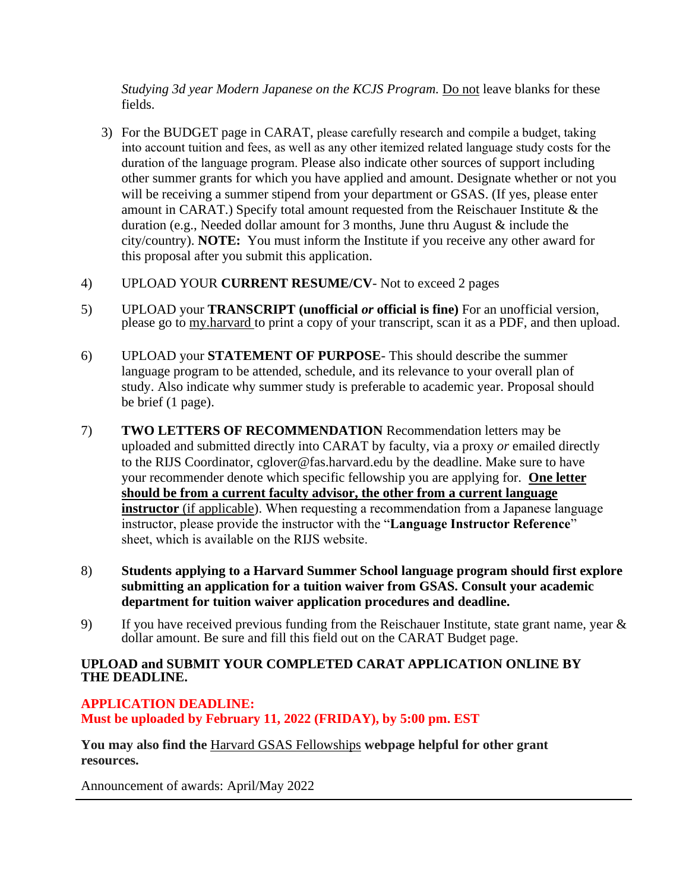*Studying 3d year Modern Japanese on the KCJS Program.* Do not leave blanks for these fields.

- 3) For the BUDGET page in CARAT, please carefully research and compile a budget, taking into account tuition and fees, as well as any other itemized related language study costs for the duration of the language program. Please also indicate other sources of support including other summer grants for which you have applied and amount. Designate whether or not you will be receiving a summer stipend from your department or GSAS. (If yes, please enter amount in CARAT.) Specify total amount requested from the Reischauer Institute & the duration (e.g., Needed dollar amount for 3 months, June thru August & include the city/country). **NOTE:** You must inform the Institute if you receive any other award for this proposal after you submit this application.
- 4) UPLOAD YOUR **CURRENT RESUME/CV** Not to exceed 2 pages
- 5) UPLOAD your **TRANSCRIPT (unofficial** *or* **official is fine)** For an unofficial version, please go to [my.harvard](https://my.harvard.edu/) to print a copy of your transcript, scan it as a PDF, and then upload.
- 6) UPLOAD your **STATEMENT OF PURPOSE** This should describe the summer language program to be attended, schedule, and its relevance to your overall plan of study. Also indicate why summer study is preferable to academic year. Proposal should be brief (1 page).
- 7) **TWO LETTERS OF RECOMMENDATION** Recommendation letters may be uploaded and submitted directly into CARAT by faculty, via a proxy *or* emailed directly to the RIJS Coordinator, [cglover@fas.harvard.edu](mailto:cglover@fas.harvard.edu) by the deadline. Make sure to have your recommender denote which specific fellowship you are applying for. **One letter should be from a current faculty advisor, the other from a current language instructor** (if applicable). When requesting a recommendation from a Japanese language instructor, please provide the instructor with the "**Language Instructor Reference**" sheet, which is available [on the RIJS website.](https://rijs.fas.harvard.edu/files/reischauer/files/rijs_language_evaluation_form_fillable_0.pdf)
- 8) **Students applying to a Harvard Summer School language program should first explore submitting an application for a tuition waiver from GSAS. Consult your academic department for tuition waiver application procedures and deadline.**
- 9) If you have received previous funding from the Reischauer Institute, state grant name, year & dollar amount. Be sure and fill this field out on the CARAT Budget page.

### **UPLOAD and SUBMIT YOUR COMPLETED CARAT APPLICATION ONLINE BY THE DEADLINE.**

### **APPLICATION DEADLINE: Must be uploaded by February 11, 2022 (FRIDAY), by 5:00 pm. EST**

**You may also find the** [Harvard GSAS Fellowships](https://gsas.harvard.edu/financial-support/fellowships) **webpage helpful for other grant resources.** 

Announcement of awards: April/May 2022  $\overline{a}$